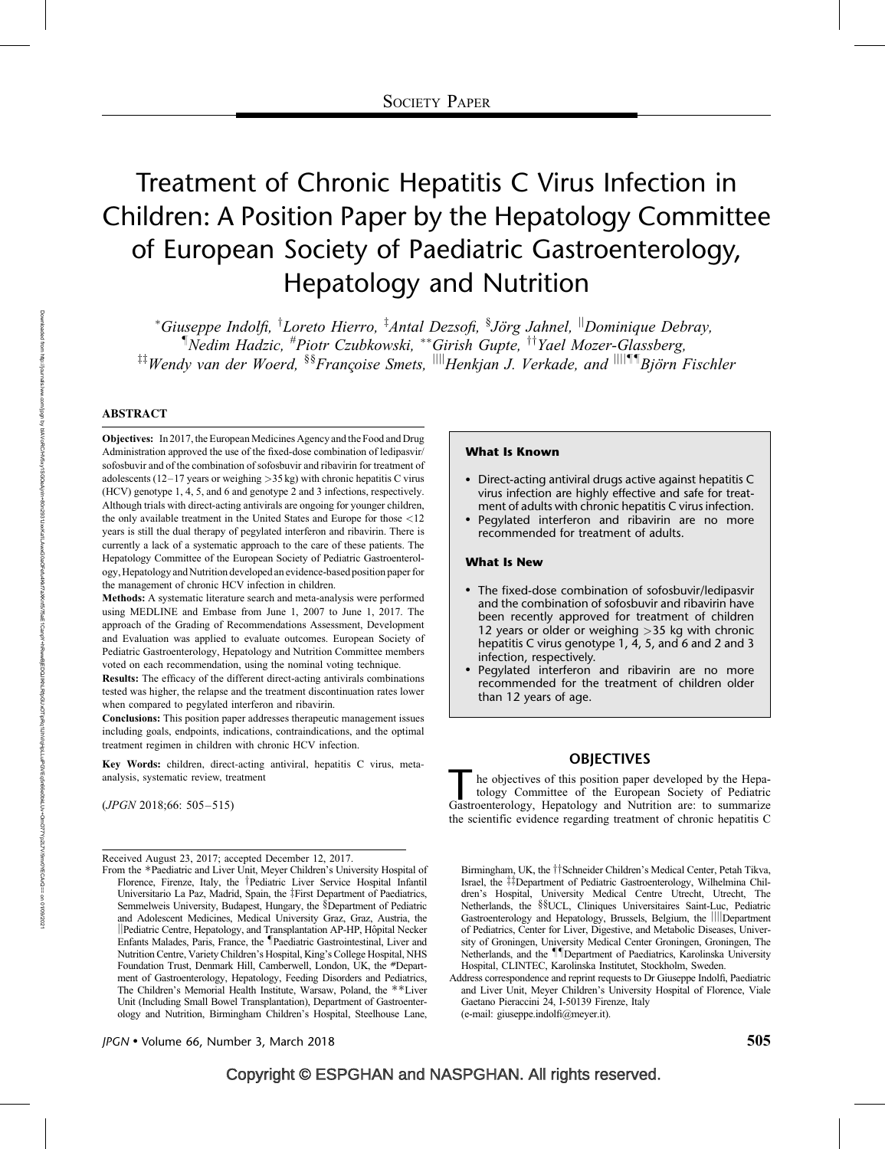# Treatment of Chronic Hepatitis C Virus Infection in Children: A Position Paper by the Hepatology Committee of European Society of Paediatric Gastroenterology, Hepatology and Nutrition

\*Giuseppe Indolfi, <sup>†</sup>Loreto Hierro, <sup>‡</sup>Antal Dezsofi, <sup>§</sup>Jörg Jahnel, <sup>||</sup>Dominique Debray, <sup>¶</sup>Nedim Hadzic, <sup>#</sup>Piotr Czubkowski, \*\*Girish Gupte, <sup>††</sup>Yael Mozer-Glassberg,  $^{1\ddagger}$ Wendy van der Woerd,  $^{8\$ }Françoise Smets,  $^{\text{III}}$ Henkjan J. Verkade, and  $^{\text{IIIIII}}$ Björn Fischler

#### **ABSTRACT**

Objectives: In 2017, the European Medicines Agency and the Food and Drug Administration approved the use of the fixed-dose combination of ledipasvir/ sofosbuvir and of the combination of sofosbuvir and ribavirin for treatment of adolescents (12–17 years or weighing  $>$ 35 kg) with chronic hepatitis C virus (HCV) genotype 1, 4, 5, and 6 and genotype 2 and 3 infections, respectively. Although trials with direct-acting antivirals are ongoing for younger children, the only available treatment in the United States and Europe for those <12 years is still the dual therapy of pegylated interferon and ribavirin. There is currently a lack of a systematic approach to the care of these patients. The Hepatology Committee of the European Society of Pediatric Gastroenterology, Hepatology and Nutrition developed an evidence-based position paper for the management of chronic HCV infection in children.

Methods: A systematic literature search and meta-analysis were performed using MEDLINE and Embase from June 1, 2007 to June 1, 2017. The approach of the Grading of Recommendations Assessment, Development and Evaluation was applied to evaluate outcomes. European Society of Pediatric Gastroenterology, Hepatology and Nutrition Committee members voted on each recommendation, using the nominal voting technique.

Results: The efficacy of the different direct-acting antivirals combinations tested was higher, the relapse and the treatment discontinuation rates lower when compared to pegylated interferon and ribavirin.

Conclusions: This position paper addresses therapeutic management issues including goals, endpoints, indications, contraindications, and the optimal treatment regimen in children with chronic HCV infection.

Key Words: children, direct-acting antiviral, hepatitis C virus, metaanalysis, systematic review, treatment

(JPGN 2018;66: 505–515)

Received August 23, 2017; accepted December 12, 2017.

#### What Is Known

- Direct-acting antiviral drugs active against hepatitis C virus infection are highly effective and safe for treatment of adults with chronic hepatitis C virus infection.
- Pegylated interferon and ribavirin are no more recommended for treatment of adults.

#### What Is New

- The fixed-dose combination of sofosbuvir/ledipasvir and the combination of sofosbuvir and ribavirin have been recently approved for treatment of children 12 years or older or weighing >35 kg with chronic hepatitis C virus genotype 1, 4, 5, and 6 and 2 and 3 infection, respectively.
- Pegylated interferon and ribavirin are no more recommended for the treatment of children older than 12 years of age.

#### **OBJECTIVES**

The objectives of this position paper developed by the Hepa-<br>tology Committee of the European Society of Pediatric<br>Gastroenterology, Hepatology and Nutrition are: to summarize tology Committee of the European Society of Pediatric the scientific evidence regarding treatment of chronic hepatitis C

Birmingham, UK, the ††Schneider Children's Medical Center, Petah Tikva, Israel, the #Department of Pediatric Gastroenterology, Wilhelmina Children's Hospital, University Medical Centre Utrecht, Utrecht, The Netherlands, the §§UCL, Cliniques Universitaires Saint-Luc, Pediatric Gastroenterology and Hepatology, Brussels, Belgium, the ||||Department of Pediatrics, Center for Liver, Digestive, and Metabolic Diseases, University of Groningen, University Medical Center Groningen, Groningen, The Netherlands, and the *IID* epartment of Paediatrics, Karolinska University Hospital, CLINTEC, Karolinska Institutet, Stockholm, Sweden.

# Copyright © ESPGHAN and NASPGHAN. All rights reserved.

From the \*Paediatric and Liver Unit, Meyer Children's University Hospital of Florence, Firenze, Italy, the †Pediatric Liver Service Hospital Infantil Universitario La Paz, Madrid, Spain, the ‡First Department of Paediatrics, Semmelweis University, Budapest, Hungary, the §Department of Pediatric and Adolescent Medicines, Medical University Graz, Graz, Austria, the Hediatric Centre, Hepatology, and Transplantation AP-HP, Hôpital Necker Enfants Malades, Paris, France, the <sup>¶</sup>Paediatric Gastrointestinal, Liver and Nutrition Centre, Variety Children's Hospital, King's College Hospital, NHS Foundation Trust, Denmark Hill, Camberwell, London, UK, the #Department of Gastroenterology, Hepatology, Feeding Disorders and Pediatrics, The Children's Memorial Health Institute, Warsaw, Poland, the \*\*Liver Unit (Including Small Bowel Transplantation), Department of Gastroenterology and Nutrition, Birmingham Children's Hospital, Steelhouse Lane,

Address correspondence and reprint requests to Dr Giuseppe Indolfi, Paediatric and Liver Unit, Meyer Children's University Hospital of Florence, Viale Gaetano Pieraccini 24, I-50139 Firenze, Italy (e-mail: [giuseppe.indolfi@meyer.it\)](mailto:giuseppe.indolfi@meyer.it).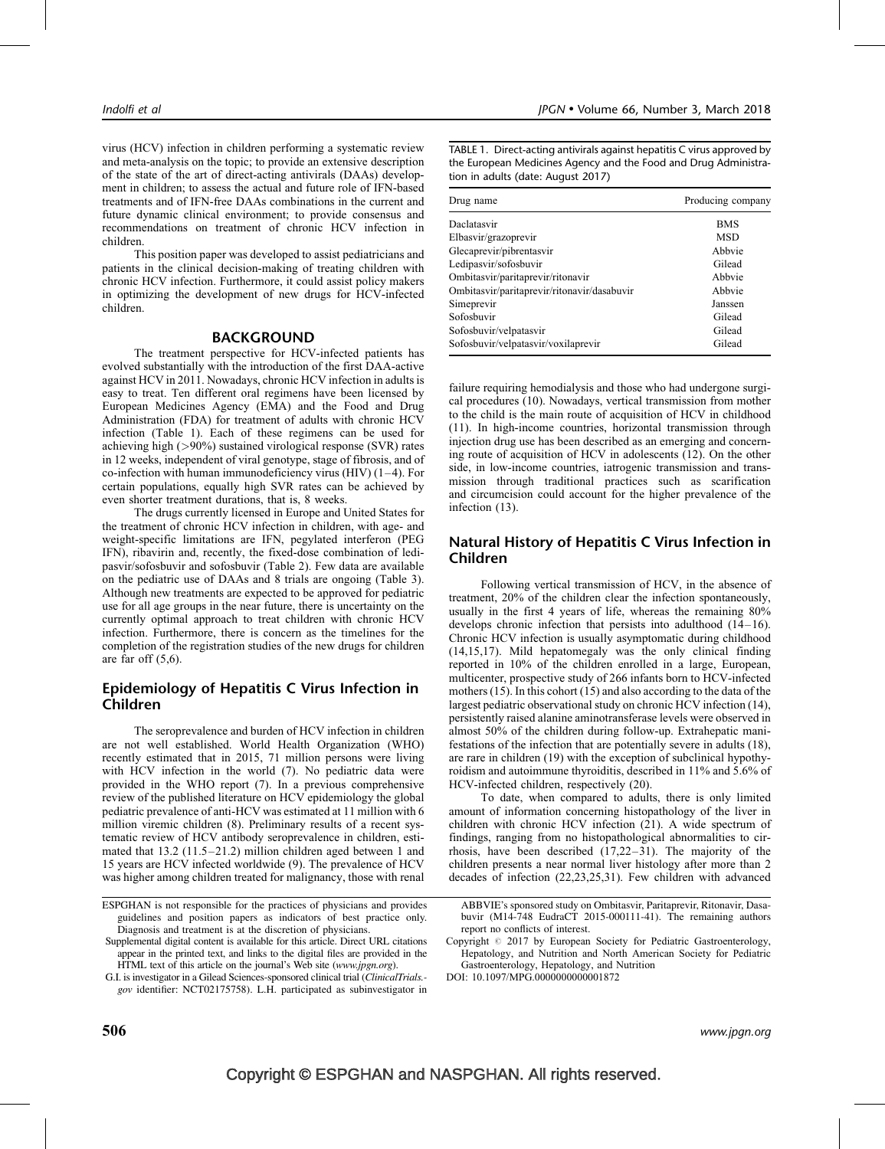virus (HCV) infection in children performing a systematic review and meta-analysis on the topic; to provide an extensive description of the state of the art of direct-acting antivirals (DAAs) development in children; to assess the actual and future role of IFN-based treatments and of IFN-free DAAs combinations in the current and future dynamic clinical environment; to provide consensus and recommendations on treatment of chronic HCV infection in children.

This position paper was developed to assist pediatricians and patients in the clinical decision-making of treating children with chronic HCV infection. Furthermore, it could assist policy makers in optimizing the development of new drugs for HCV-infected children.

#### BACKGROUND

The treatment perspective for HCV-infected patients has evolved substantially with the introduction of the first DAA-active against HCV in 2011. Nowadays, chronic HCV infection in adults is easy to treat. Ten different oral regimens have been licensed by European Medicines Agency (EMA) and the Food and Drug Administration (FDA) for treatment of adults with chronic HCV infection (Table 1). Each of these regimens can be used for achieving high (>90%) sustained virological response (SVR) rates in 12 weeks, independent of viral genotype, stage of fibrosis, and of co-infection with human immunodeficiency virus  $(HIV)$   $(1-4)$ . For certain populations, equally high SVR rates can be achieved by even shorter treatment durations, that is, 8 weeks.

The drugs currently licensed in Europe and United States for the treatment of chronic HCV infection in children, with age- and weight-specific limitations are IFN, pegylated interferon (PEG IFN), ribavirin and, recently, the fixed-dose combination of ledipasvir/sofosbuvir and sofosbuvir (Table 2). Few data are available on the pediatric use of DAAs and 8 trials are ongoing (Table 3). Although new treatments are expected to be approved for pediatric use for all age groups in the near future, there is uncertainty on the currently optimal approach to treat children with chronic HCV infection. Furthermore, there is concern as the timelines for the completion of the registration studies of the new drugs for children are far off  $(5,6)$ .

#### Epidemiology of Hepatitis C Virus Infection in Children

The seroprevalence and burden of HCV infection in children are not well established. World Health Organization (WHO) recently estimated that in 2015, 71 million persons were living with HCV infection in the world (7). No pediatric data were provided in the WHO report (7). In a previous comprehensive review of the published literature on HCV epidemiology the global pediatric prevalence of anti-HCV was estimated at 11 million with 6 million viremic children (8). Preliminary results of a recent systematic review of HCV antibody seroprevalence in children, estimated that 13.2 (11.5–21.2) million children aged between 1 and 15 years are HCV infected worldwide (9). The prevalence of HCV was higher among children treated for malignancy, those with renal TABLE 1. Direct-acting antivirals against hepatitis C virus approved by the European Medicines Agency and the Food and Drug Administration in adults (date: August 2017)

| Drug name                                   | Producing company |
|---------------------------------------------|-------------------|
| Daclatasvir                                 | <b>BMS</b>        |
| Elbasvir/grazoprevir                        | <b>MSD</b>        |
| Glecaprevir/pibrentasvir                    | Abbyie            |
| Ledipasvir/sofosbuvir                       | Gilead            |
| Ombitasvir/paritaprevir/ritonavir           | Abbyie            |
| Ombitasvir/paritaprevir/ritonavir/dasabuvir | Abbvie            |
| Simeprevir                                  | Janssen           |
| Sofosbuvir                                  | Gilead            |
| Sofosbuvir/velpatasvir                      | Gilead            |
| Sofosbuvir/velpatasvir/voxilaprevir         | Gilead            |

failure requiring hemodialysis and those who had undergone surgical procedures (10). Nowadays, vertical transmission from mother to the child is the main route of acquisition of HCV in childhood (11). In high-income countries, horizontal transmission through injection drug use has been described as an emerging and concerning route of acquisition of HCV in adolescents (12). On the other side, in low-income countries, iatrogenic transmission and transmission through traditional practices such as scarification and circumcision could account for the higher prevalence of the infection (13).

### Natural History of Hepatitis C Virus Infection in Children

Following vertical transmission of HCV, in the absence of treatment, 20% of the children clear the infection spontaneously, usually in the first 4 years of life, whereas the remaining 80% develops chronic infection that persists into adulthood (14–16). Chronic HCV infection is usually asymptomatic during childhood (14,15,17). Mild hepatomegaly was the only clinical finding reported in 10% of the children enrolled in a large, European, multicenter, prospective study of 266 infants born to HCV-infected mothers (15). In this cohort (15) and also according to the data of the largest pediatric observational study on chronic HCV infection (14), persistently raised alanine aminotransferase levels were observed in almost 50% of the children during follow-up. Extrahepatic manifestations of the infection that are potentially severe in adults (18), are rare in children (19) with the exception of subclinical hypothyroidism and autoimmune thyroiditis, described in 11% and 5.6% of HCV-infected children, respectively (20).

To date, when compared to adults, there is only limited amount of information concerning histopathology of the liver in children with chronic HCV infection (21). A wide spectrum of findings, ranging from no histopathological abnormalities to cirrhosis, have been described (17,22–31). The majority of the children presents a near normal liver histology after more than 2 decades of infection (22,23,25,31). Few children with advanced

ESPGHAN is not responsible for the practices of physicians and provides guidelines and position papers as indicators of best practice only. Diagnosis and treatment is at the discretion of physicians.

Supplemental digital content is available for this article. Direct URL citations appear in the printed text, and links to the digital files are provided in the HTML text of this article on the journal's Web site ([www.jpgn.org](http://www.jpgn.org/)).

G.I. is investigator in a Gilead Sciences-sponsored clinical trial (ClinicalTrials. gov identifier: NCT02175758). L.H. participated as subinvestigator in

ABBVIE's sponsored study on Ombitasvir, Paritaprevir, Ritonavir, Dasabuvir (M14-748 EudraCT 2015-000111-41). The remaining authors report no conflicts of interest.

Copyright  $@$  2017 by European Society for Pediatric Gastroenterology, Hepatology, and Nutrition and North American Society for Pediatric Gastroenterology, Hepatology, and Nutrition

DOI: [10.1097/MPG.0000000000001872](http://dx.doi.org/10.1097/MPG.0000000000001872)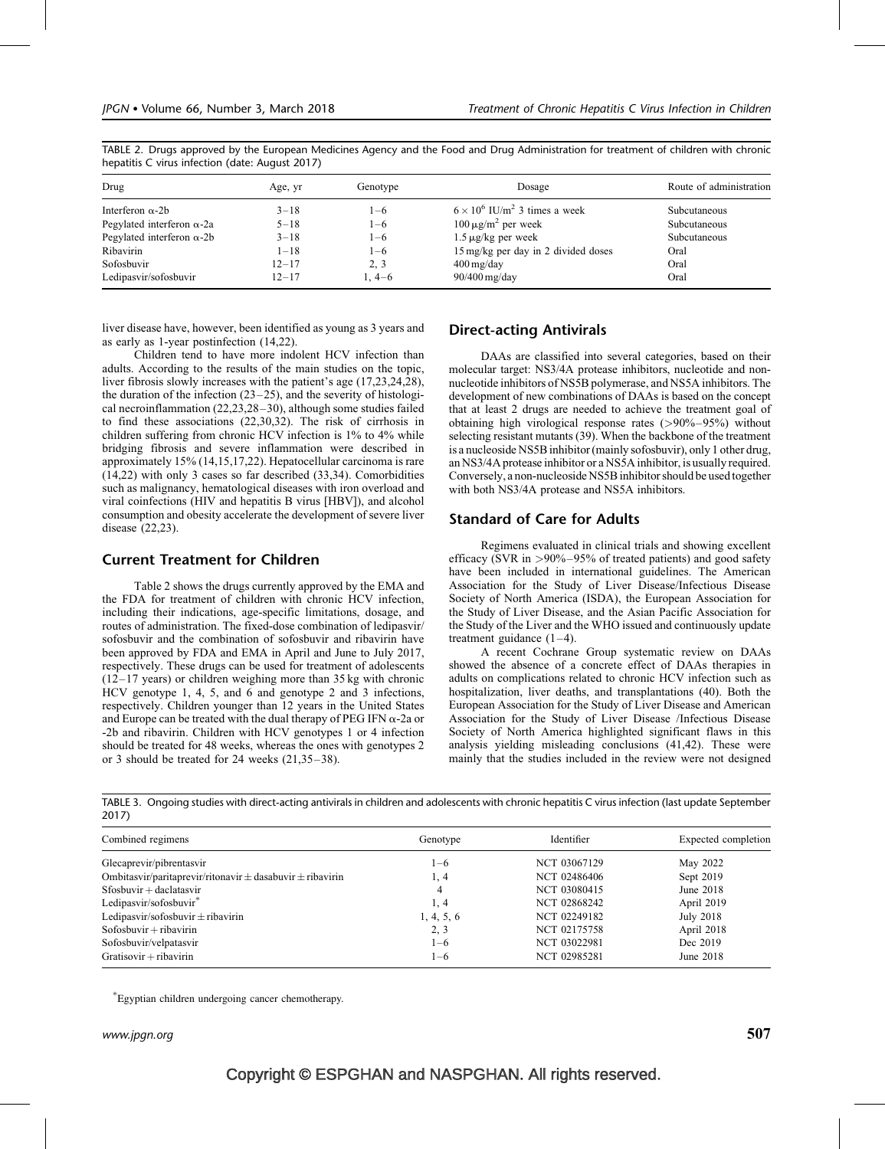| Drug                              | Age, yr   | Genotype | Dosage                                           | Route of administration |
|-----------------------------------|-----------|----------|--------------------------------------------------|-------------------------|
| Interferon $\alpha$ -2b           | $3 - 18$  | $1 - 6$  | $6 \times 10^6$ IU/m <sup>2</sup> 3 times a week | Subcutaneous            |
| Pegylated interferon $\alpha$ -2a | $5 - 18$  | $1 - 6$  | $100 \mu g/m^2$ per week                         | Subcutaneous            |
| Pegylated interferon $\alpha$ -2b | $3 - 18$  | $1 - 6$  | $1.5 \mu$ g/kg per week                          | Subcutaneous            |
| Ribavirin                         | $1 - 18$  | 1–6      | 15 mg/kg per day in 2 divided doses              | Oral                    |
| Sofosbuvir                        | $12 - 17$ | 2, 3     | $400 \,\mathrm{mg/day}$                          | Oral                    |
| Ledipasvir/sofosbuvir             | $12 - 17$ | $1, 4-6$ | $90/400$ mg/day                                  | Oral                    |

TABLE 2. Drugs approved by the European Medicines Agency and the Food and Drug Administration for treatment of children with chronic hepatitis C virus infection (date: August 2017)

liver disease have, however, been identified as young as 3 years and as early as 1-year postinfection (14,22).

Children tend to have more indolent HCV infection than adults. According to the results of the main studies on the topic, liver fibrosis slowly increases with the patient's age (17,23,24,28), the duration of the infection (23–25), and the severity of histological necroinflammation (22,23,28–30), although some studies failed to find these associations (22,30,32). The risk of cirrhosis in children suffering from chronic HCV infection is 1% to 4% while bridging fibrosis and severe inflammation were described in approximately 15% (14,15,17,22). Hepatocellular carcinoma is rare (14,22) with only 3 cases so far described (33,34). Comorbidities such as malignancy, hematological diseases with iron overload and viral coinfections (HIV and hepatitis B virus [HBV]), and alcohol consumption and obesity accelerate the development of severe liver disease (22,23).

#### Current Treatment for Children

Table 2 shows the drugs currently approved by the EMA and the FDA for treatment of children with chronic HCV infection, including their indications, age-specific limitations, dosage, and routes of administration. The fixed-dose combination of ledipasvir/ sofosbuvir and the combination of sofosbuvir and ribavirin have been approved by FDA and EMA in April and June to July 2017, respectively. These drugs can be used for treatment of adolescents  $(12-17 \text{ years})$  or children weighing more than 35 kg with chronic HCV genotype 1, 4, 5, and 6 and genotype 2 and 3 infections, respectively. Children younger than 12 years in the United States and Europe can be treated with the dual therapy of PEG IFN  $\alpha$ -2a or -2b and ribavirin. Children with HCV genotypes 1 or 4 infection should be treated for 48 weeks, whereas the ones with genotypes 2 or 3 should be treated for 24 weeks (21,35–38).

#### Direct-acting Antivirals

DAAs are classified into several categories, based on their molecular target: NS3/4A protease inhibitors, nucleotide and nonnucleotide inhibitors of NS5B polymerase, and NS5A inhibitors. The development of new combinations of DAAs is based on the concept that at least 2 drugs are needed to achieve the treatment goal of obtaining high virological response rates (>90%–95%) without selecting resistant mutants (39). When the backbone of the treatment is a nucleoside NS5B inhibitor (mainly sofosbuvir), only 1 other drug, an NS3/4A protease inhibitor or a NS5A inhibitor, is usually required. Conversely, a non-nucleoside NS5B inhibitor should be used together with both NS3/4A protease and NS5A inhibitors.

### Standard of Care for Adults

Regimens evaluated in clinical trials and showing excellent efficacy (SVR in >90%–95% of treated patients) and good safety have been included in international guidelines. The American Association for the Study of Liver Disease/Infectious Disease Society of North America (ISDA), the European Association for the Study of Liver Disease, and the Asian Pacific Association for the Study of the Liver and the WHO issued and continuously update treatment guidance  $(1-4)$ .

A recent Cochrane Group systematic review on DAAs showed the absence of a concrete effect of DAAs therapies in adults on complications related to chronic HCV infection such as hospitalization, liver deaths, and transplantations (40). Both the European Association for the Study of Liver Disease and American Association for the Study of Liver Disease /Infectious Disease Society of North America highlighted significant flaws in this analysis yielding misleading conclusions (41,42). These were mainly that the studies included in the review were not designed

TABLE 3. Ongoing studies with direct-acting antivirals in children and adolescents with chronic hepatitis C virus infection (last update September 2017)

| Combined regimens                                                 | Genotype   | Identifier          | Expected completion |
|-------------------------------------------------------------------|------------|---------------------|---------------------|
| Glecaprevir/pibrentasvir                                          | $1 - 6$    | NCT 03067129        | May 2022            |
| Ombitasvir/paritagrevir/ritonavir $\pm$ dasabuvir $\pm$ ribavirin | 1, 4       | NCT 02486406        | Sept 2019           |
| $S$ fosbuvir + daclatasvir                                        | 4          | NCT 03080415        | June 2018           |
| Ledipasvir/sofosbuvir <sup>*</sup>                                | 1, 4       | NCT 02868242        | April 2019          |
| Ledipasvir/sofosbuvir $\pm$ ribavirin                             | 1, 4, 5, 6 | NCT 02249182        | <b>July 2018</b>    |
| Sofosbuvir $+$ ribavirin                                          | 2, 3       | NCT 02175758        | April 2018          |
| Sofosbuvir/velpatasvir                                            | $1 - 6$    | <b>NCT 03022981</b> | Dec 2019            |
| Gratisovir + ribavirin                                            | $1 - 6$    | <b>NCT 02985281</b> | June 2018           |

- Egyptian children undergoing cancer chemotherapy.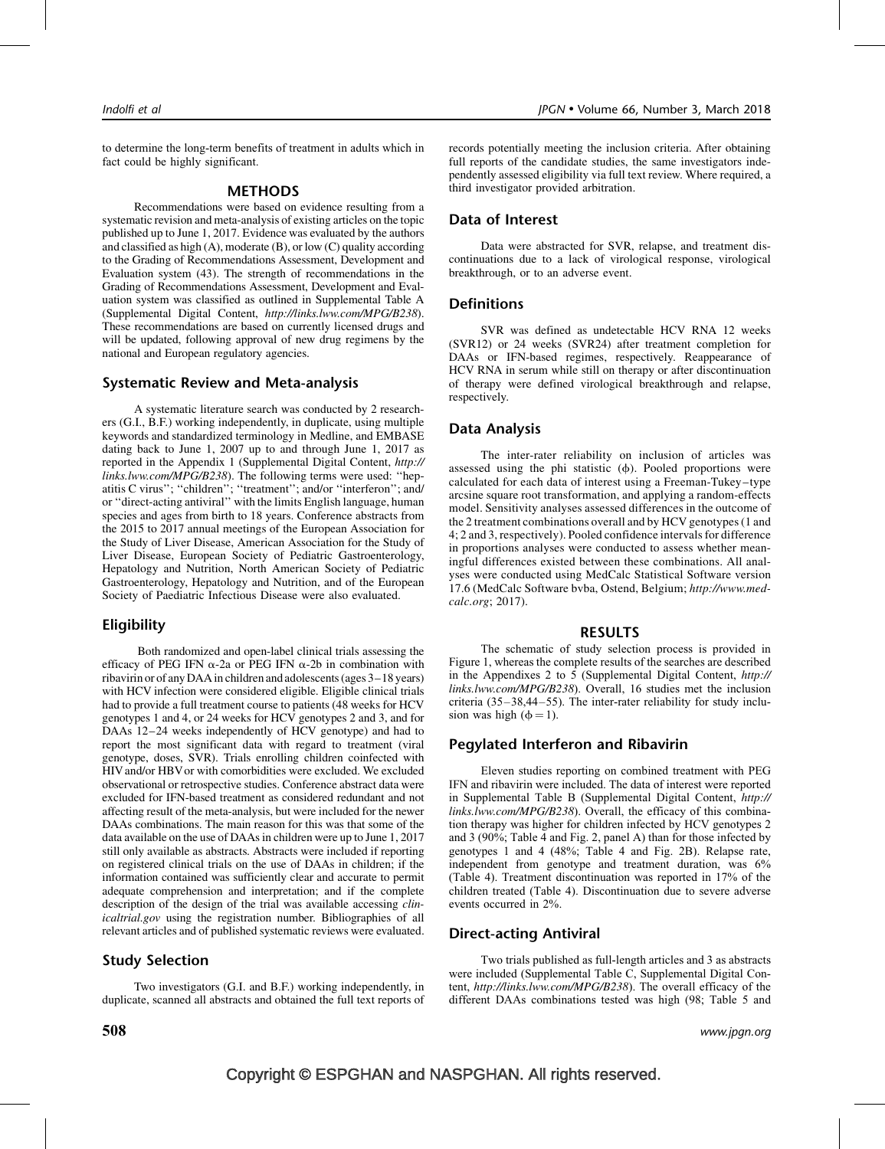to determine the long-term benefits of treatment in adults which in fact could be highly significant.

#### METHODS

Recommendations were based on evidence resulting from a systematic revision and meta-analysis of existing articles on the topic published up to June 1, 2017. Evidence was evaluated by the authors and classified as high (A), moderate (B), or low (C) quality according to the Grading of Recommendations Assessment, Development and Evaluation system (43). The strength of recommendations in the Grading of Recommendations Assessment, Development and Evaluation system was classified as outlined in Supplemental Table A (Supplemental Digital Content, <http://links.lww.com/MPG/B238>). These recommendations are based on currently licensed drugs and will be updated, following approval of new drug regimens by the national and European regulatory agencies.

# Systematic Review and Meta-analysis

A systematic literature search was conducted by 2 researchers (G.I., B.F.) working independently, in duplicate, using multiple keywords and standardized terminology in Medline, and EMBASE dating back to June 1, 2007 up to and through June 1, 2017 as reported in the Appendix 1 (Supplemental Digital Content, [http://](http://links.lww.com/MPG/B238) [links.lww.com/MPG/B238](http://links.lww.com/MPG/B238)). The following terms were used: ''hepatitis C virus''; ''children''; ''treatment''; and/or ''interferon''; and/ or ''direct-acting antiviral'' with the limits English language, human species and ages from birth to 18 years. Conference abstracts from the 2015 to 2017 annual meetings of the European Association for the Study of Liver Disease, American Association for the Study of Liver Disease, European Society of Pediatric Gastroenterology, Hepatology and Nutrition, North American Society of Pediatric Gastroenterology, Hepatology and Nutrition, and of the European Society of Paediatric Infectious Disease were also evaluated.

# Eligibility

Both randomized and open-label clinical trials assessing the efficacy of PEG IFN  $\alpha$ -2a or PEG IFN  $\alpha$ -2b in combination with ribavirin or of any DAA in children and adolescents (ages 3–18 years) with HCV infection were considered eligible. Eligible clinical trials had to provide a full treatment course to patients (48 weeks for HCV genotypes 1 and 4, or 24 weeks for HCV genotypes 2 and 3, and for DAAs 12–24 weeks independently of HCV genotype) and had to report the most significant data with regard to treatment (viral genotype, doses, SVR). Trials enrolling children coinfected with HIV and/or HBV or with comorbidities were excluded. We excluded observational or retrospective studies. Conference abstract data were excluded for IFN-based treatment as considered redundant and not affecting result of the meta-analysis, but were included for the newer DAAs combinations. The main reason for this was that some of the data available on the use of DAAs in children were up to June 1, 2017 still only available as abstracts. Abstracts were included if reporting on registered clinical trials on the use of DAAs in children; if the information contained was sufficiently clear and accurate to permit adequate comprehension and interpretation; and if the complete description of the design of the trial was available accessing *clin*icaltrial.gov using the registration number. Bibliographies of all relevant articles and of published systematic reviews were evaluated.

# Study Selection

Two investigators (G.I. and B.F.) working independently, in duplicate, scanned all abstracts and obtained the full text reports of

# Data of Interest

Data were abstracted for SVR, relapse, and treatment discontinuations due to a lack of virological response, virological breakthrough, or to an adverse event.

## **Definitions**

SVR was defined as undetectable HCV RNA 12 weeks (SVR12) or 24 weeks (SVR24) after treatment completion for DAAs or IFN-based regimes, respectively. Reappearance of HCV RNA in serum while still on therapy or after discontinuation of therapy were defined virological breakthrough and relapse, respectively.

### Data Analysis

The inter-rater reliability on inclusion of articles was assessed using the phi statistic  $(\phi)$ . Pooled proportions were calculated for each data of interest using a Freeman-Tukey–type arcsine square root transformation, and applying a random-effects model. Sensitivity analyses assessed differences in the outcome of the 2 treatment combinations overall and by HCV genotypes (1 and 4; 2 and 3, respectively). Pooled confidence intervals for difference in proportions analyses were conducted to assess whether meaningful differences existed between these combinations. All analyses were conducted using MedCalc Statistical Software version 17.6 (MedCalc Software bvba, Ostend, Belgium; [http://www.med](http://www.medcalc.org/)[calc.org](http://www.medcalc.org/); 2017).

#### **RESULTS**

The schematic of study selection process is provided in Figure 1, whereas the complete results of the searches are described in the Appendixes 2 to 5 (Supplemental Digital Content, [http://](http://links.lww.com/MPG/B238) [links.lww.com/MPG/B238](http://links.lww.com/MPG/B238)). Overall, 16 studies met the inclusion criteria (35–38,44–55). The inter-rater reliability for study inclusion was high ( $\phi = 1$ ).

### Pegylated Interferon and Ribavirin

Eleven studies reporting on combined treatment with PEG IFN and ribavirin were included. The data of interest were reported in Supplemental Table B (Supplemental Digital Content, [http://](http://links.lww.com/MPG/B238) [links.lww.com/MPG/B238](http://links.lww.com/MPG/B238)). Overall, the efficacy of this combination therapy was higher for children infected by HCV genotypes 2 and 3 (90%; Table 4 and Fig. 2, panel A) than for those infected by genotypes 1 and 4 (48%; Table 4 and Fig. 2B). Relapse rate, independent from genotype and treatment duration, was 6% (Table 4). Treatment discontinuation was reported in 17% of the children treated (Table 4). Discontinuation due to severe adverse events occurred in 2%.

# Direct-acting Antiviral

Two trials published as full-length articles and 3 as abstracts were included (Supplemental Table C, Supplemental Digital Content, <http://links.lww.com/MPG/B238>). The overall efficacy of the different DAAs combinations tested was high (98; Table 5 and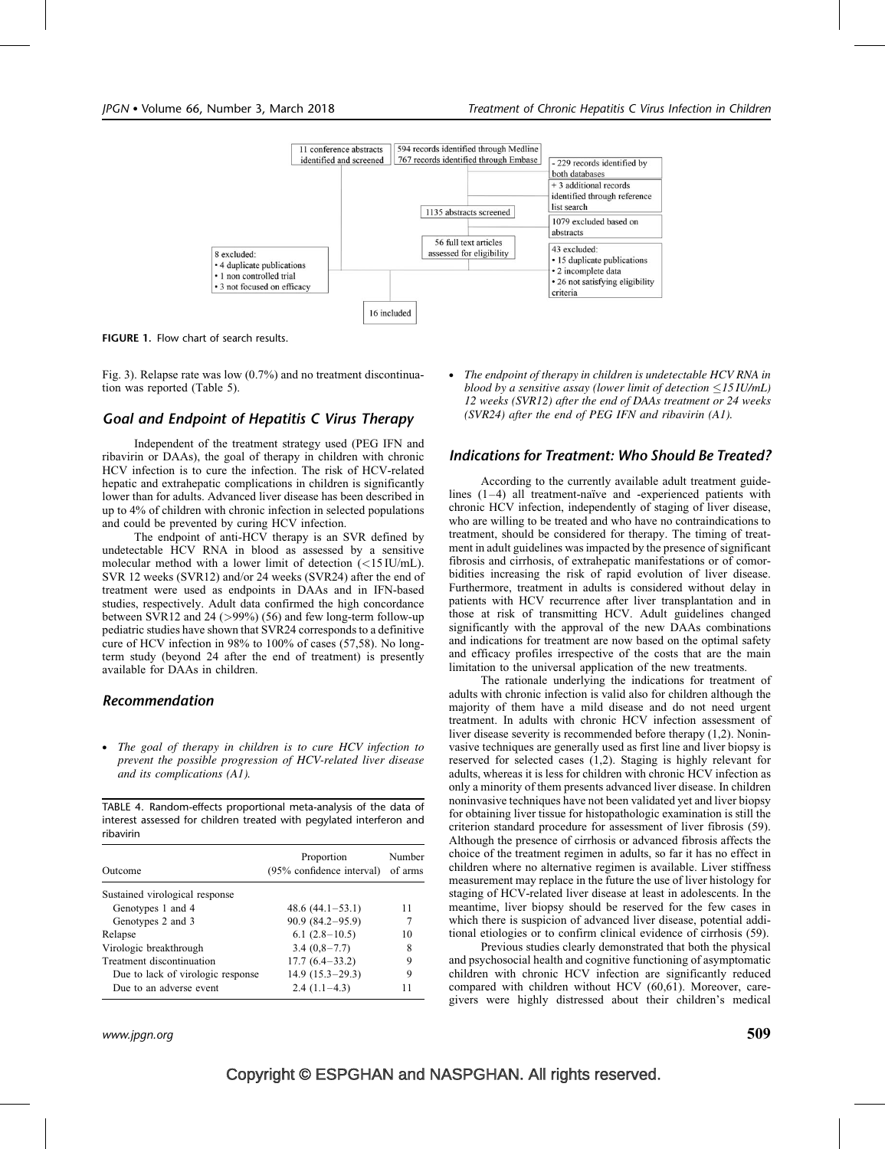

FIGURE 1. Flow chart of search results.

Fig. 3). Relapse rate was low (0.7%) and no treatment discontinuation was reported (Table 5).

#### Goal and Endpoint of Hepatitis C Virus Therapy

Independent of the treatment strategy used (PEG IFN and ribavirin or DAAs), the goal of therapy in children with chronic HCV infection is to cure the infection. The risk of HCV-related hepatic and extrahepatic complications in children is significantly lower than for adults. Advanced liver disease has been described in up to 4% of children with chronic infection in selected populations and could be prevented by curing HCV infection.

The endpoint of anti-HCV therapy is an SVR defined by undetectable HCV RNA in blood as assessed by a sensitive molecular method with a lower limit of detection (<15 IU/mL). SVR 12 weeks (SVR12) and/or 24 weeks (SVR24) after the end of treatment were used as endpoints in DAAs and in IFN-based studies, respectively. Adult data confirmed the high concordance between SVR12 and 24 (>99%) (56) and few long-term follow-up pediatric studies have shown that SVR24 corresponds to a definitive cure of HCV infection in 98% to 100% of cases (57,58). No longterm study (beyond 24 after the end of treatment) is presently available for DAAs in children.

#### Recommendation

 The goal of therapy in children is to cure HCV infection to prevent the possible progression of HCV-related liver disease and its complications (A1).

TABLE 4. Random-effects proportional meta-analysis of the data of interest assessed for children treated with pegylated interferon and ribavirin

| Outcome                           | Proportion<br>(95% confidence interval) | Number<br>of arms |
|-----------------------------------|-----------------------------------------|-------------------|
| Sustained virological response    |                                         |                   |
| Genotypes 1 and 4                 | 48.6 $(44.1-53.1)$                      | 11                |
| Genotypes 2 and 3                 | $90.9(84.2 - 95.9)$                     |                   |
| Relapse                           | $6.1(2.8-10.5)$                         | 10                |
| Virologic breakthrough            | $3.4(0.8-7.7)$                          | 8                 |
| Treatment discontinuation         | $17.7(6.4-33.2)$                        | 9                 |
| Due to lack of virologic response | $14.9(15.3-29.3)$                       |                   |
| Due to an adverse event           | $2.4(1.1-4.3)$                          |                   |

• The endpoint of therapy in children is undetectable HCV RNA in blood by a sensitive assay (lower limit of detection  $\leq$  15 IU/mL) 12 weeks (SVR12) after the end of DAAs treatment or 24 weeks (SVR24) after the end of PEG IFN and ribavirin (A1).

#### Indications for Treatment: Who Should Be Treated?

According to the currently available adult treatment guidelines  $(1-4)$  all treatment-naïve and -experienced patients with chronic HCV infection, independently of staging of liver disease, who are willing to be treated and who have no contraindications to treatment, should be considered for therapy. The timing of treatment in adult guidelines was impacted by the presence of significant fibrosis and cirrhosis, of extrahepatic manifestations or of comorbidities increasing the risk of rapid evolution of liver disease. Furthermore, treatment in adults is considered without delay in patients with HCV recurrence after liver transplantation and in those at risk of transmitting HCV. Adult guidelines changed significantly with the approval of the new DAAs combinations and indications for treatment are now based on the optimal safety and efficacy profiles irrespective of the costs that are the main limitation to the universal application of the new treatments.

The rationale underlying the indications for treatment of adults with chronic infection is valid also for children although the majority of them have a mild disease and do not need urgent treatment. In adults with chronic HCV infection assessment of liver disease severity is recommended before therapy (1,2). Noninvasive techniques are generally used as first line and liver biopsy is reserved for selected cases (1,2). Staging is highly relevant for adults, whereas it is less for children with chronic HCV infection as only a minority of them presents advanced liver disease. In children noninvasive techniques have not been validated yet and liver biopsy for obtaining liver tissue for histopathologic examination is still the criterion standard procedure for assessment of liver fibrosis (59). Although the presence of cirrhosis or advanced fibrosis affects the choice of the treatment regimen in adults, so far it has no effect in children where no alternative regimen is available. Liver stiffness measurement may replace in the future the use of liver histology for staging of HCV-related liver disease at least in adolescents. In the meantime, liver biopsy should be reserved for the few cases in which there is suspicion of advanced liver disease, potential additional etiologies or to confirm clinical evidence of cirrhosis (59).

Previous studies clearly demonstrated that both the physical and psychosocial health and cognitive functioning of asymptomatic children with chronic HCV infection are significantly reduced compared with children without HCV (60,61). Moreover, caregivers were highly distressed about their children's medical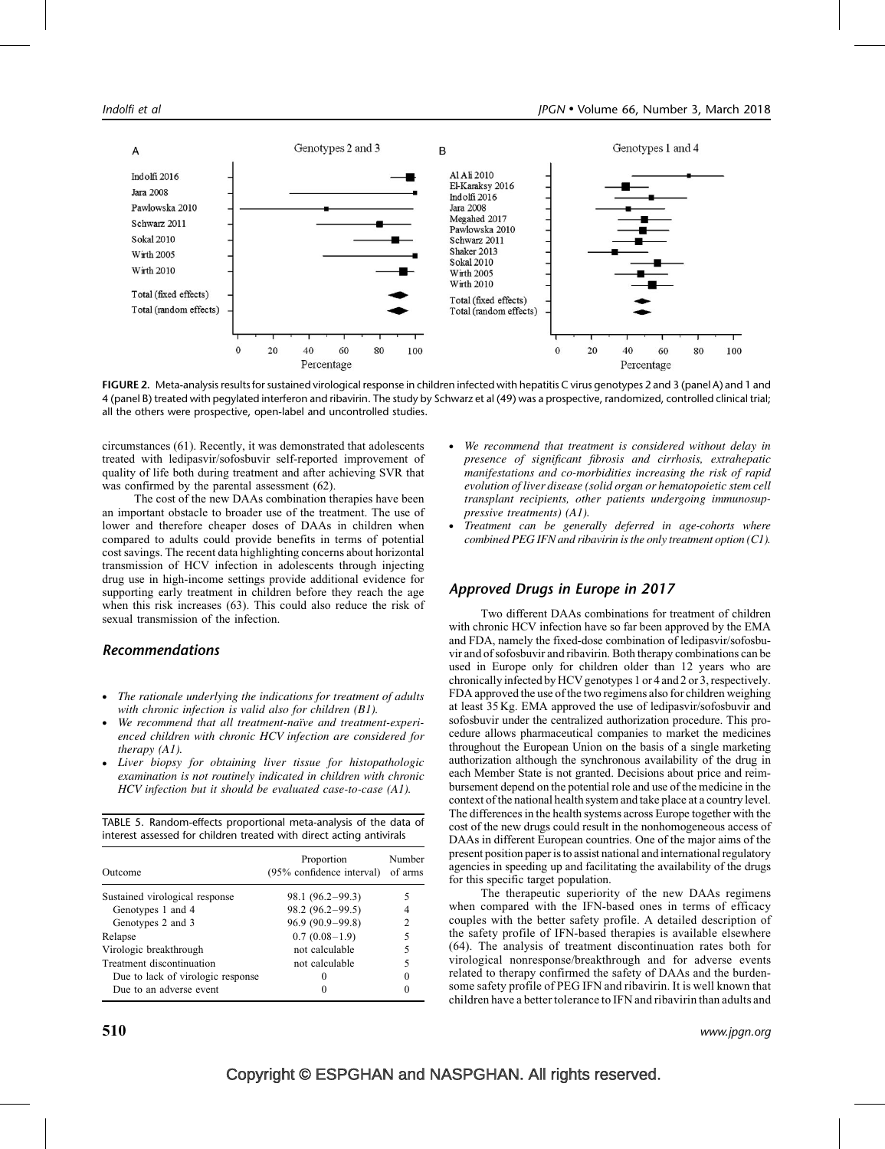

FIGURE 2. Meta-analysis results for sustained virological response in children infected with hepatitis C virus genotypes 2 and 3 (panel A) and 1 and 4 (panel B) treated with pegylated interferon and ribavirin. The study by Schwarz et al (49) was a prospective, randomized, controlled clinical trial; all the others were prospective, open-label and uncontrolled studies.

circumstances (61). Recently, it was demonstrated that adolescents treated with ledipasvir/sofosbuvir self-reported improvement of quality of life both during treatment and after achieving SVR that was confirmed by the parental assessment (62).

The cost of the new DAAs combination therapies have been an important obstacle to broader use of the treatment. The use of lower and therefore cheaper doses of DAAs in children when compared to adults could provide benefits in terms of potential cost savings. The recent data highlighting concerns about horizontal transmission of HCV infection in adolescents through injecting drug use in high-income settings provide additional evidence for supporting early treatment in children before they reach the age when this risk increases (63). This could also reduce the risk of sexual transmission of the infection.

## Recommendations

- The rationale underlying the indications for treatment of adults with chronic infection is valid also for children (B1).
- We recommend that all treatment-naïve and treatment-experienced children with chronic HCV infection are considered for therapy (A1).
- Liver biopsy for obtaining liver tissue for histopathologic examination is not routinely indicated in children with chronic HCV infection but it should be evaluated case-to-case (A1).

TABLE 5. Random-effects proportional meta-analysis of the data of interest assessed for children treated with direct acting antivirals

| Outcome                           | Proportion<br>(95% confidence interval) | Number<br>of arms |
|-----------------------------------|-----------------------------------------|-------------------|
| Sustained virological response    | 98.1 (96.2–99.3)                        |                   |
| Genotypes 1 and 4                 | $98.2 (96.2 - 99.5)$                    |                   |
| Genotypes 2 and 3                 | $96.9(90.9-99.8)$                       |                   |
| Relapse                           | $0.7(0.08-1.9)$                         |                   |
| Virologic breakthrough            | not calculable                          |                   |
| Treatment discontinuation         | not calculable                          | 5                 |
| Due to lack of virologic response | $_{0}$                                  |                   |
| Due to an adverse event           |                                         |                   |

- We recommend that treatment is considered without delay in presence of significant fibrosis and cirrhosis, extrahepatic manifestations and co-morbidities increasing the risk of rapid evolution of liver disease (solid organ or hematopoietic stem cell transplant recipients, other patients undergoing immunosuppressive treatments) (A1).
- Treatment can be generally deferred in age-cohorts where combined PEG IFN and ribavirin is the only treatment option (C1).

# Approved Drugs in Europe in 2017

Two different DAAs combinations for treatment of children with chronic HCV infection have so far been approved by the EMA and FDA, namely the fixed-dose combination of ledipasvir/sofosbuvir and of sofosbuvir and ribavirin. Both therapy combinations can be used in Europe only for children older than 12 years who are chronically infected by HCV genotypes 1 or 4 and 2 or 3, respectively. FDA approved the use of the two regimens also for children weighing at least 35 Kg. EMA approved the use of ledipasvir/sofosbuvir and sofosbuvir under the centralized authorization procedure. This procedure allows pharmaceutical companies to market the medicines throughout the European Union on the basis of a single marketing authorization although the synchronous availability of the drug in each Member State is not granted. Decisions about price and reimbursement depend on the potential role and use of the medicine in the context of the national health system and take place at a country level. The differences in the health systems across Europe together with the cost of the new drugs could result in the nonhomogeneous access of DAAs in different European countries. One of the major aims of the present position paper is to assist national and international regulatory agencies in speeding up and facilitating the availability of the drugs for this specific target population.

The therapeutic superiority of the new DAAs regimens when compared with the IFN-based ones in terms of efficacy couples with the better safety profile. A detailed description of the safety profile of IFN-based therapies is available elsewhere (64). The analysis of treatment discontinuation rates both for virological nonresponse/breakthrough and for adverse events related to therapy confirmed the safety of DAAs and the burdensome safety profile of PEG IFN and ribavirin. It is well known that children have a better tolerance to IFN and ribavirin than adults and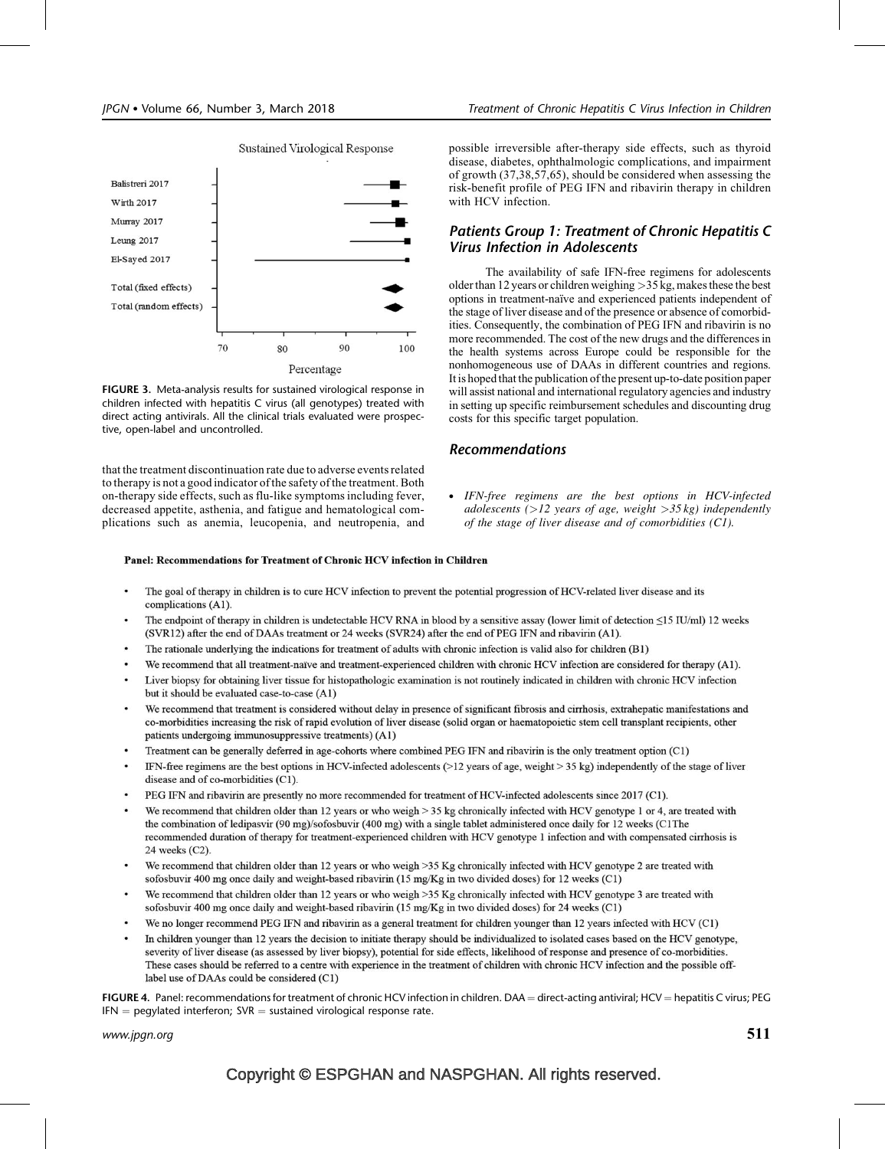

Sustained Virological Response

FIGURE 3. Meta-analysis results for sustained virological response in children infected with hepatitis C virus (all genotypes) treated with direct acting antivirals. All the clinical trials evaluated were prospective, open-label and uncontrolled.

that the treatment discontinuation rate due to adverse events related to therapy is not a good indicator ofthe safety of the treatment. Both on-therapy side effects, such as flu-like symptoms including fever, decreased appetite, asthenia, and fatigue and hematological complications such as anemia, leucopenia, and neutropenia, and possible irreversible after-therapy side effects, such as thyroid disease, diabetes, ophthalmologic complications, and impairment of growth (37,38,57,65), should be considered when assessing the risk-benefit profile of PEG IFN and ribavirin therapy in children with HCV infection.

# Patients Group 1: Treatment of Chronic Hepatitis C Virus Infection in Adolescents

The availability of safe IFN-free regimens for adolescents older than 12 years or children weighing >35 kg, makes these the best options in treatment-naïve and experienced patients independent of the stage of liver disease and of the presence or absence of comorbidities. Consequently, the combination of PEG IFN and ribavirin is no more recommended. The cost of the new drugs and the differences in the health systems across Europe could be responsible for the nonhomogeneous use of DAAs in different countries and regions. It is hoped that the publication of the present up-to-date position paper will assist national and international regulatory agencies and industry in setting up specific reimbursement schedules and discounting drug costs for this specific target population.

# Recommendations

 IFN-free regimens are the best options in HCV-infected adolescents ( $>12$  years of age, weight  $>35$  kg) independently of the stage of liver disease and of comorbidities (C1).

#### Panel: Recommendations for Treatment of Chronic HCV infection in Children

- The goal of therapy in children is to cure HCV infection to prevent the potential progression of HCV-related liver disease and its complications (A1).
- The endpoint of therapy in children is undetectable HCV RNA in blood by a sensitive assay (lower limit of detection  $\leq$ 15 IU/ml) 12 weeks (SVR12) after the end of DAAs treatment or 24 weeks (SVR24) after the end of PEG IFN and ribavirin (A1).
- ï The rationale underlying the indications for treatment of adults with chronic infection is valid also for children (B1)
- We recommend that all treatment-naïve and treatment-experienced children with chronic HCV infection are considered for therapy (A1).
- Liver biopsy for obtaining liver tissue for histopathologic examination is not routinely indicated in children with chronic HCV infection but it should be evaluated case-to-case (A1)
- We recommend that treatment is considered without delay in presence of significant fibrosis and cirrhosis, extrahepatic manifestations and co-morbidities increasing the risk of rapid evolution of liver disease (solid organ or haematopoietic stem cell transplant recipients, other patients undergoing immunosuppressive treatments) (A1)
- Treatment can be generally deferred in age-cohorts where combined PEG IFN and ribavirin is the only treatment option (C1)
- IFN-free regimens are the best options in HCV-infected adolescents (>12 years of age, weight > 35 kg) independently of the stage of liver disease and of co-morbidities (C1).
- PEG IFN and ribavirin are presently no more recommended for treatment of HCV-infected adolescents since 2017 (C1).
- We recommend that children older than 12 years or who weigh > 35 kg chronically infected with HCV genotype 1 or 4, are treated with the combination of ledipasvir (90 mg)/sofosbuvir (400 mg) with a single tablet administered once daily for 12 weeks (C1The recommended duration of therapy for treatment-experienced children with HCV genotype 1 infection and with compensated cirrhosis is 24 weeks (C2).
- We recommend that children older than 12 years or who weigh >35 Kg chronically infected with HCV genotype 2 are treated with sofosbuvir 400 mg once daily and weight-based ribavirin (15 mg/Kg in two divided doses) for 12 weeks (C1)
- We recommend that children older than 12 years or who weigh >35 Kg chronically infected with HCV genotype 3 are treated with  $\bullet$ sofosbuvir 400 mg once daily and weight-based ribavirin (15 mg/Kg in two divided doses) for 24 weeks (C1)
- We no longer recommend PEG IFN and ribavirin as a general treatment for children younger than 12 years infected with HCV (C1)
- In children younger than 12 years the decision to initiate therapy should be individualized to isolated cases based on the HCV genotype, severity of liver disease (as assessed by liver biopsy), potential for side effects, likelihood of response and presence of co-morbidities. These cases should be referred to a centre with experience in the treatment of children with chronic HCV infection and the possible offlabel use of DAAs could be considered (C1)

FIGURE 4. Panel: recommendations for treatment of chronic HCV infection in children. DAA = direct-acting antiviral; HCV = hepatitis C virus; PEG  $IFN =$  pegylated interferon;  $SVR =$  sustained virological response rate.

www.jpgn.org  $511$ 

# Copyright © ESPGHAN and NASPGHAN. All rights reserved.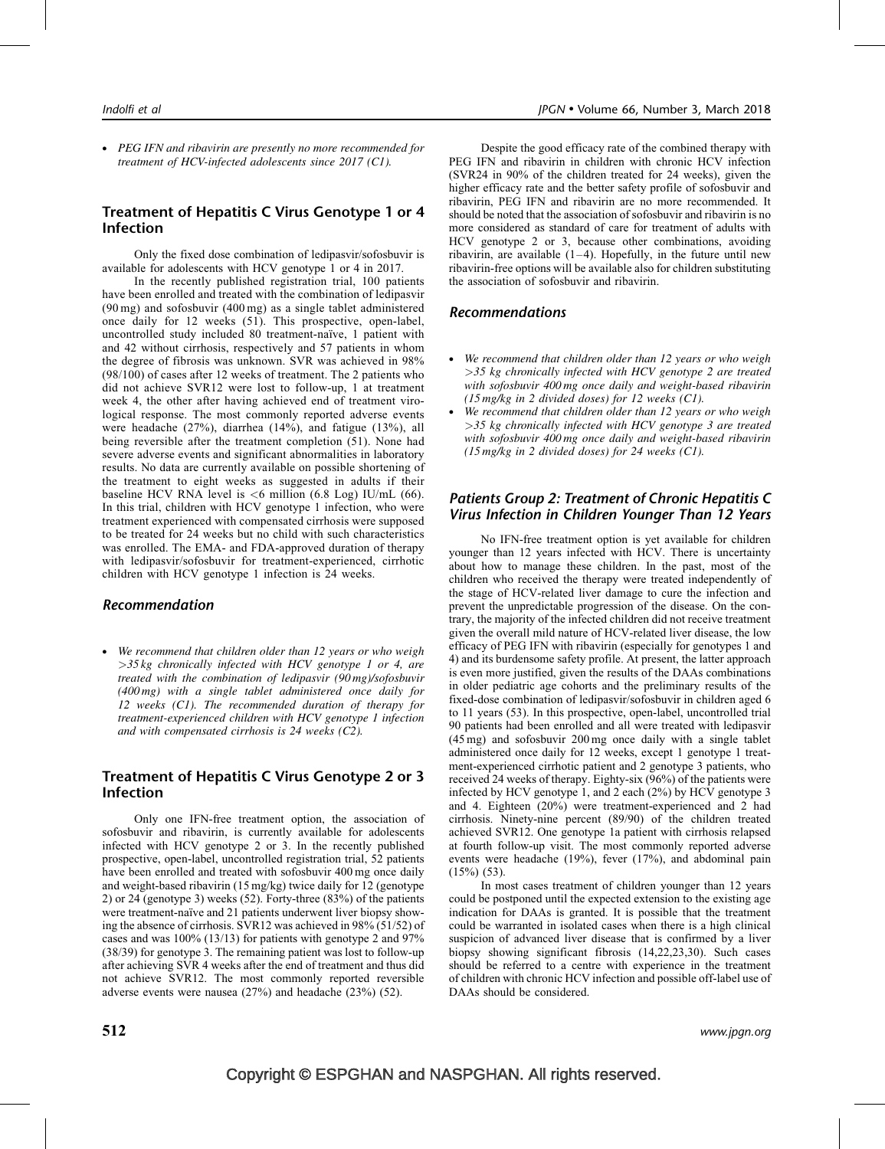PEG IFN and ribavirin are presently no more recommended for treatment of HCV-infected adolescents since 2017 (C1).

#### Treatment of Hepatitis C Virus Genotype 1 or 4 Infection

Only the fixed dose combination of ledipasvir/sofosbuvir is available for adolescents with HCV genotype 1 or 4 in 2017.

In the recently published registration trial, 100 patients have been enrolled and treated with the combination of ledipasvir (90 mg) and sofosbuvir (400 mg) as a single tablet administered once daily for 12 weeks (51). This prospective, open-label, uncontrolled study included 80 treatment-naïve, 1 patient with and 42 without cirrhosis, respectively and 57 patients in whom the degree of fibrosis was unknown. SVR was achieved in 98% (98/100) of cases after 12 weeks of treatment. The 2 patients who did not achieve SVR12 were lost to follow-up, 1 at treatment week 4, the other after having achieved end of treatment virological response. The most commonly reported adverse events were headache (27%), diarrhea (14%), and fatigue (13%), all being reversible after the treatment completion (51). None had severe adverse events and significant abnormalities in laboratory results. No data are currently available on possible shortening of the treatment to eight weeks as suggested in adults if their baseline HCV RNA level is  $<6$  million (6.8 Log) IU/mL (66). In this trial, children with HCV genotype 1 infection, who were treatment experienced with compensated cirrhosis were supposed to be treated for 24 weeks but no child with such characteristics was enrolled. The EMA- and FDA-approved duration of therapy with ledipasvir/sofosbuvir for treatment-experienced, cirrhotic children with HCV genotype 1 infection is 24 weeks.

### Recommendation

We recommend that children older than 12 years or who weigh  $>35$  kg chronically infected with HCV genotype 1 or 4, are treated with the combination of ledipasvir (90 mg)/sofosbuvir (400 mg) with a single tablet administered once daily for 12 weeks (C1). The recommended duration of therapy for treatment-experienced children with HCV genotype 1 infection and with compensated cirrhosis is 24 weeks (C2).

### Treatment of Hepatitis C Virus Genotype 2 or 3 Infection

Only one IFN-free treatment option, the association of sofosbuvir and ribavirin, is currently available for adolescents infected with HCV genotype 2 or 3. In the recently published prospective, open-label, uncontrolled registration trial, 52 patients have been enrolled and treated with sofosbuvir 400 mg once daily and weight-based ribavirin (15 mg/kg) twice daily for 12 (genotype 2) or 24 (genotype 3) weeks (52). Forty-three (83%) of the patients were treatment-naïve and 21 patients underwent liver biopsy showing the absence of cirrhosis. SVR12 was achieved in 98% (51/52) of cases and was 100% (13/13) for patients with genotype 2 and 97% (38/39) for genotype 3. The remaining patient was lost to follow-up after achieving SVR 4 weeks after the end of treatment and thus did not achieve SVR12. The most commonly reported reversible adverse events were nausea (27%) and headache (23%) (52).

Despite the good efficacy rate of the combined therapy with PEG IFN and ribavirin in children with chronic HCV infection (SVR24 in 90% of the children treated for 24 weeks), given the higher efficacy rate and the better safety profile of sofosbuvir and ribavirin, PEG IFN and ribavirin are no more recommended. It should be noted that the association of sofosbuvir and ribavirin is no more considered as standard of care for treatment of adults with HCV genotype 2 or 3, because other combinations, avoiding ribavirin, are available  $(1-4)$ . Hopefully, in the future until new ribavirin-free options will be available also for children substituting the association of sofosbuvir and ribavirin.

#### Recommendations

- We recommend that children older than 12 years or who weigh >35 kg chronically infected with HCV genotype 2 are treated with sofosbuvir 400 mg once daily and weight-based ribavirin (15 mg/kg in 2 divided doses) for 12 weeks (C1).
- We recommend that children older than 12 years or who weigh >35 kg chronically infected with HCV genotype 3 are treated with sofosbuvir 400 mg once daily and weight-based ribavirin (15 mg/kg in 2 divided doses) for 24 weeks (C1).

# Patients Group 2: Treatment of Chronic Hepatitis C Virus Infection in Children Younger Than 12 Years

No IFN-free treatment option is yet available for children younger than 12 years infected with HCV. There is uncertainty about how to manage these children. In the past, most of the children who received the therapy were treated independently of the stage of HCV-related liver damage to cure the infection and prevent the unpredictable progression of the disease. On the contrary, the majority of the infected children did not receive treatment given the overall mild nature of HCV-related liver disease, the low efficacy of PEG IFN with ribavirin (especially for genotypes 1 and 4) and its burdensome safety profile. At present, the latter approach is even more justified, given the results of the DAAs combinations in older pediatric age cohorts and the preliminary results of the fixed-dose combination of ledipasvir/sofosbuvir in children aged 6 to 11 years (53). In this prospective, open-label, uncontrolled trial 90 patients had been enrolled and all were treated with ledipasvir (45 mg) and sofosbuvir 200 mg once daily with a single tablet administered once daily for 12 weeks, except 1 genotype 1 treatment-experienced cirrhotic patient and 2 genotype 3 patients, who received 24 weeks of therapy. Eighty-six (96%) of the patients were infected by HCV genotype 1, and 2 each (2%) by HCV genotype 3 and 4. Eighteen (20%) were treatment-experienced and 2 had cirrhosis. Ninety-nine percent (89/90) of the children treated achieved SVR12. One genotype 1a patient with cirrhosis relapsed at fourth follow-up visit. The most commonly reported adverse events were headache (19%), fever (17%), and abdominal pain  $(15%) (53)$ .

In most cases treatment of children younger than 12 years could be postponed until the expected extension to the existing age indication for DAAs is granted. It is possible that the treatment could be warranted in isolated cases when there is a high clinical suspicion of advanced liver disease that is confirmed by a liver biopsy showing significant fibrosis (14,22,23,30). Such cases should be referred to a centre with experience in the treatment of children with chronic HCV infection and possible off-label use of DAAs should be considered.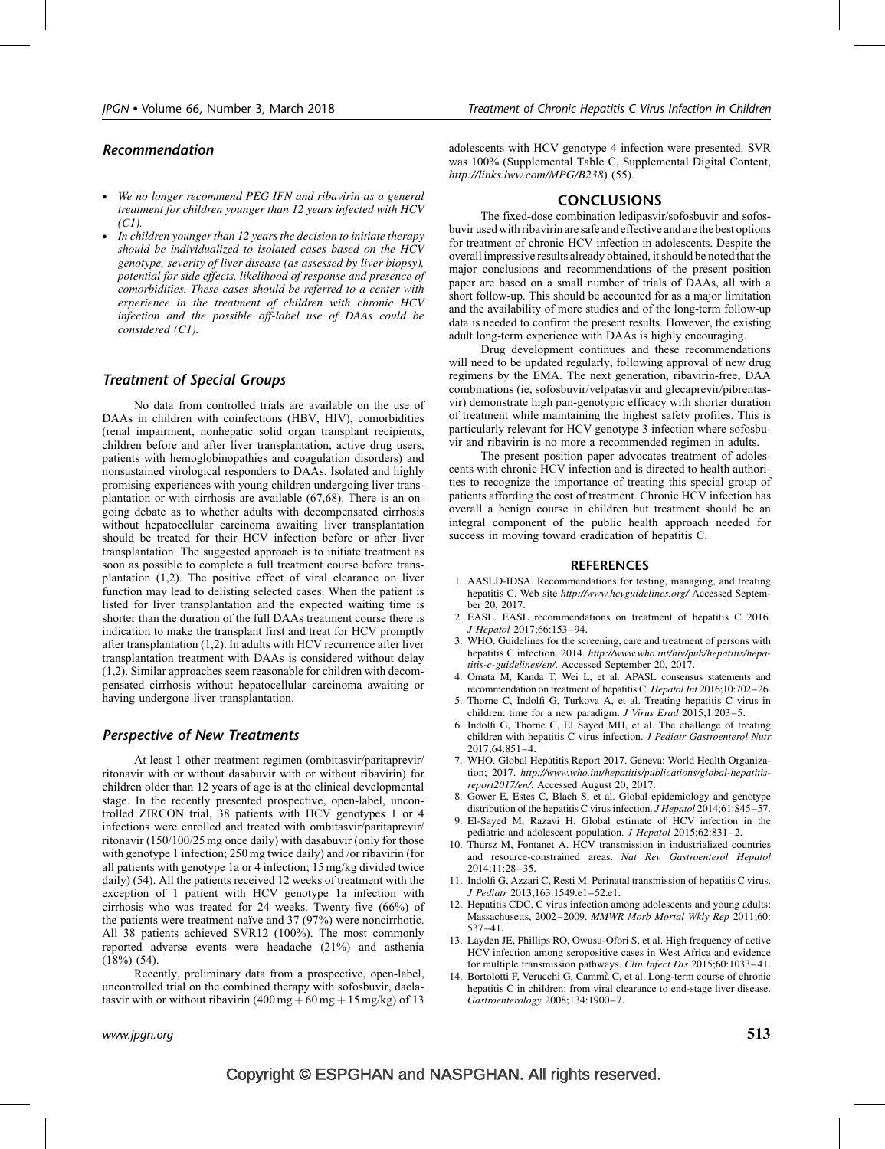#### Recommendation

- We no longer recommend PEG IFN and ribavirin as a general treatment for children younger than 12 years infected with HCV  $(C1)$ .
- In children younger than 12 years the decision to initiate therapy should be individualized to isolated cases based on the HCV genotype, severity of liver disease (as assessed by liver biopsy), potential for side effects, likelihood of response and presence of comorbidities. These cases should be referred to a center with experience in the treatment of children with chronic HCV infection and the possible off-label use of DAAs could be considered (C1).

#### Treatment of Special Groups

No data from controlled trials are available on the use of DAAs in children with coinfections (HBV, HIV), comorbidities (renal impairment, nonhepatic solid organ transplant recipients, children before and after liver transplantation, active drug users, patients with hemoglobinopathies and coagulation disorders) and nonsustained virological responders to DAAs. Isolated and highly promising experiences with young children undergoing liver transplantation or with cirrhosis are available (67,68). There is an ongoing debate as to whether adults with decompensated cirrhosis without hepatocellular carcinoma awaiting liver transplantation should be treated for their HCV infection before or after liver transplantation. The suggested approach is to initiate treatment as soon as possible to complete a full treatment course before transplantation (1,2). The positive effect of viral clearance on liver function may lead to delisting selected cases. When the patient is listed for liver transplantation and the expected waiting time is shorter than the duration of the full DAAs treatment course there is indication to make the transplant first and treat for HCV promptly after transplantation (1,2). In adults with HCV recurrence after liver transplantation treatment with DAAs is considered without delay (1,2). Similar approaches seem reasonable for children with decompensated cirrhosis without hepatocellular carcinoma awaiting or having undergone liver transplantation.

#### Perspective of New Treatments

At least 1 other treatment regimen (ombitasvir/paritaprevir/ ritonavir with or without dasabuvir with or without ribavirin) for children older than 12 years of age is at the clinical developmental stage. In the recently presented prospective, open-label, uncontrolled ZIRCON trial, 38 patients with HCV genotypes 1 or 4 infections were enrolled and treated with ombitasvir/paritaprevir/ ritonavir (150/100/25 mg once daily) with dasabuvir (only for those with genotype 1 infection; 250 mg twice daily) and /or ribavirin (for all patients with genotype 1a or 4 infection; 15 mg/kg divided twice daily) (54). All the patients received 12 weeks of treatment with the exception of 1 patient with HCV genotype 1a infection with cirrhosis who was treated for 24 weeks. Twenty-five (66%) of the patients were treatment-naïve and 37 (97%) were noncirrhotic. All 38 patients achieved SVR12 (100%). The most commonly reported adverse events were headache (21%) and asthenia  $(18%) (54)$ .

Recently, preliminary data from a prospective, open-label, uncontrolled trial on the combined therapy with sofosbuvir, daclatasvir with or without ribavirin  $(400 \text{ mg} + 60 \text{ mg} + 15 \text{ mg/kg})$  of 13 adolescents with HCV genotype 4 infection were presented. SVR was 100% (Supplemental Table C, Supplemental Digital Content, <http://links.lww.com/MPG/B238>) (55).

#### **CONCLUSIONS**

The fixed-dose combination ledipasvir/sofosbuvir and sofosbuvir used with ribavirin are safe and effective and are the best options for treatment of chronic HCV infection in adolescents. Despite the overall impressive results already obtained, it should be noted that the major conclusions and recommendations of the present position paper are based on a small number of trials of DAAs, all with a short follow-up. This should be accounted for as a major limitation and the availability of more studies and of the long-term follow-up data is needed to confirm the present results. However, the existing adult long-term experience with DAAs is highly encouraging.

Drug development continues and these recommendations will need to be updated regularly, following approval of new drug regimens by the EMA. The next generation, ribavirin-free, DAA combinations (ie, sofosbuvir/velpatasvir and glecaprevir/pibrentasvir) demonstrate high pan-genotypic efficacy with shorter duration of treatment while maintaining the highest safety profiles. This is particularly relevant for HCV genotype 3 infection where sofosbuvir and ribavirin is no more a recommended regimen in adults.

The present position paper advocates treatment of adolescents with chronic HCV infection and is directed to health authorities to recognize the importance of treating this special group of patients affording the cost of treatment. Chronic HCV infection has overall a benign course in children but treatment should be an integral component of the public health approach needed for success in moving toward eradication of hepatitis C.

#### **REFERENCES**

- 1. AASLD-IDSA. Recommendations for testing, managing, and treating hepatitis C. Web site <http://www.hcvguidelines.org/> Accessed September 20, 2017.
- 2. EASL. EASL recommendations on treatment of hepatitis C 2016. J Hepatol 2017;66:153–94.
- 3. WHO. Guidelines for the screening, care and treatment of persons with hepatitis C infection. 2014. [http://www.who.int/hiv/pub/hepatitis/hepa](http://www.who.int/hiv/pub/hepatitis/hepatitis-c-guidelines/en/)[titis-c-guidelines/en/](http://www.who.int/hiv/pub/hepatitis/hepatitis-c-guidelines/en/). Accessed September 20, 2017.
- 4. Omata M, Kanda T, Wei L, et al. APASL consensus statements and recommendation on treatment of hepatitis C. Hepatol Int 2016;10:702–26.
- 5. Thorne C, Indolfi G, Turkova A, et al. Treating hepatitis C virus in children: time for a new paradigm. J Virus Erad 2015;1:203–5.
- 6. Indolfi G, Thorne C, El Sayed MH, et al. The challenge of treating children with hepatitis C virus infection. J Pediatr Gastroenterol Nutr 2017;64:851–4.
- 7. WHO. Global Hepatitis Report 2017. Geneva: World Health Organization; 2017. [http://www.who.int/hepatitis/publications/global-hepatitis](http://www.who.int/hepatitis/publications/global-hepatitis-report2017/en/)[report2017/en/](http://www.who.int/hepatitis/publications/global-hepatitis-report2017/en/). Accessed August 20, 2017.
- 8. Gower E, Estes C, Blach S, et al. Global epidemiology and genotype distribution of the hepatitis C virus infection.  $\overline{J}$  Hepatol 2014;61:S45–57.
- 9. El-Sayed M, Razavi H. Global estimate of HCV infection in the pediatric and adolescent population. J Hepatol 2015;62:831–2.
- 10. Thursz M, Fontanet A. HCV transmission in industrialized countries and resource-constrained areas. Nat Rev Gastroenterol Hepatol 2014;11:28–35.
- 11. Indolfi G, Azzari C, Resti M. Perinatal transmission of hepatitis C virus. J Pediatr 2013;163:1549.e1–52.e1.
- 12. Hepatitis CDC. C virus infection among adolescents and young adults: Massachusetts, 2002–2009. MMWR Morb Mortal Wkly Rep 2011;60: 537–41.
- 13. Layden JE, Phillips RO, Owusu-Ofori S, et al. High frequency of active HCV infection among seropositive cases in West Africa and evidence for multiple transmission pathways. Clin Infect Dis 2015;60:1033–41.
- 14. Bortolotti F, Verucchi G, Cammà C, et al. Long-term course of chronic hepatitis C in children: from viral clearance to end-stage liver disease. Gastroenterology 2008;134:1900–7.

# Copyright © ESPGHAN and NASPGHAN. All rights reserved.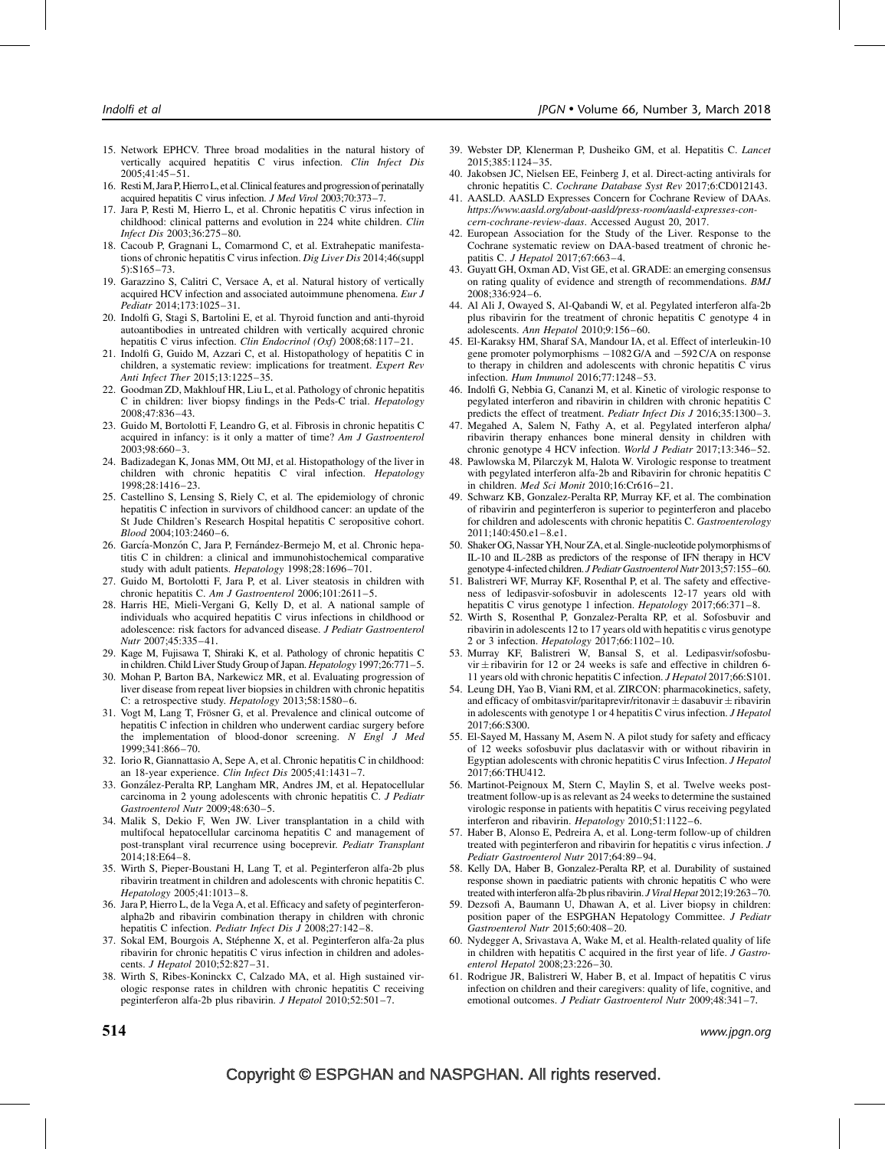- 15. Network EPHCV. Three broad modalities in the natural history of vertically acquired hepatitis C virus infection. Clin Infect Dis  $2005:41:45-51$ .
- 16. Resti M, Jara P, Hierro L, et al. Clinical features and progression of perinatally acquired hepatitis C virus infection. J Med Virol 2003;70:373–7.
- 17. Jara P, Resti M, Hierro L, et al. Chronic hepatitis C virus infection in childhood: clinical patterns and evolution in 224 white children. Clin Infect Dis 2003;36:275–80.
- 18. Cacoub P, Gragnani L, Comarmond C, et al. Extrahepatic manifestations of chronic hepatitis C virus infection. Dig Liver Dis 2014;46(suppl 5):S165–73.
- 19. Garazzino S, Calitri C, Versace A, et al. Natural history of vertically acquired HCV infection and associated autoimmune phenomena. Eur J Pediatr 2014;173:1025–31.
- 20. Indolfi G, Stagi S, Bartolini E, et al. Thyroid function and anti-thyroid autoantibodies in untreated children with vertically acquired chronic hepatitis C virus infection. *Clin Endocrinol* (*Oxf*) 2008;68:117–21.
- 21. Indolfi G, Guido M, Azzari C, et al. Histopathology of hepatitis C in children, a systematic review: implications for treatment. Expert Rev Anti Infect Ther 2015;13:1225–35.
- 22. Goodman ZD, Makhlouf HR, Liu L, et al. Pathology of chronic hepatitis C in children: liver biopsy findings in the Peds-C trial. Hepatology 2008;47:836–43.
- 23. Guido M, Bortolotti F, Leandro G, et al. Fibrosis in chronic hepatitis C acquired in infancy: is it only a matter of time? Am J Gastroenterol 2003;98:660–3.
- 24. Badizadegan K, Jonas MM, Ott MJ, et al. Histopathology of the liver in children with chronic hepatitis C viral infection. Hepatology 1998;28:1416–23.
- 25. Castellino S, Lensing S, Riely C, et al. The epidemiology of chronic hepatitis C infection in survivors of childhood cancer: an update of the St Jude Children's Research Hospital hepatitis C seropositive cohort. Blood 2004;103:2460–6.
- 26. García-Monzón C, Jara P, Fernández-Bermejo M, et al. Chronic hepatitis C in children: a clinical and immunohistochemical comparative study with adult patients. Hepatology 1998;28:1696–701.
- 27. Guido M, Bortolotti F, Jara P, et al. Liver steatosis in children with chronic hepatitis C. Am J Gastroenterol 2006;101:2611-5.
- 28. Harris HE, Mieli-Vergani G, Kelly D, et al. A national sample of individuals who acquired hepatitis C virus infections in childhood or adolescence: risk factors for advanced disease. J Pediatr Gastroenterol Nutr 2007;45:335–41.
- 29. Kage M, Fujisawa T, Shiraki K, et al. Pathology of chronic hepatitis C in children. Child Liver Study Group of Japan. Hepatology 1997;26:771-5.
- 30. Mohan P, Barton BA, Narkewicz MR, et al. Evaluating progression of liver disease from repeat liver biopsies in children with chronic hepatitis C: a retrospective study. Hepatology 2013;58:1580–6.
- 31. Vogt M, Lang T, Frösner G, et al. Prevalence and clinical outcome of hepatitis C infection in children who underwent cardiac surgery before the implementation of blood-donor screening. N Engl J Med 1999;341:866–70.
- 32. Iorio R, Giannattasio A, Sepe A, et al. Chronic hepatitis C in childhood: an 18-year experience. Clin Infect Dis 2005;41:1431–7.
- 33. Gonza´lez-Peralta RP, Langham MR, Andres JM, et al. Hepatocellular carcinoma in 2 young adolescents with chronic hepatitis C. J Pediatr Gastroenterol Nutr 2009;48:630–5.
- 34. Malik S, Dekio F, Wen JW. Liver transplantation in a child with multifocal hepatocellular carcinoma hepatitis C and management of post-transplant viral recurrence using boceprevir. Pediatr Transplant 2014;18:E64–8.
- 35. Wirth S, Pieper-Boustani H, Lang T, et al. Peginterferon alfa-2b plus ribavirin treatment in children and adolescents with chronic hepatitis C. Hepatology 2005;41:1013–8.
- 36. Jara P, Hierro L, de la Vega A, et al. Efficacy and safety of peginterferonalpha2b and ribavirin combination therapy in children with chronic hepatitis C infection. Pediatr Infect Dis J 2008;27:142-8.
- 37. Sokal EM, Bourgois A, Stéphenne X, et al. Peginterferon alfa-2a plus ribavirin for chronic hepatitis C virus infection in children and adolescents. J Hepatol 2010;52:827–31.
- 38. Wirth S, Ribes-Koninckx C, Calzado MA, et al. High sustained virologic response rates in children with chronic hepatitis C receiving peginterferon alfa-2b plus ribavirin. J Hepatol 2010;52:501–7.
- 39. Webster DP, Klenerman P, Dusheiko GM, et al. Hepatitis C. Lancet 2015;385:1124–35.
- 40. Jakobsen JC, Nielsen EE, Feinberg J, et al. Direct-acting antivirals for chronic hepatitis C. Cochrane Database Syst Rev 2017;6:CD012143.
- 41. AASLD. AASLD Expresses Concern for Cochrane Review of DAAs. [https://www.aasld.org/about-aasld/press-room/aasld-expresses-con](https://www.aasld.org/about-aasld/press-room/aasld-expresses-concern-cochrane-review-daas)[cern-cochrane-review-daas](https://www.aasld.org/about-aasld/press-room/aasld-expresses-concern-cochrane-review-daas). Accessed August 20, 2017.
- 42. European Association for the Study of the Liver. Response to the Cochrane systematic review on DAA-based treatment of chronic hepatitis C. J Hepatol 2017;67:663–4.
- 43. Guyatt GH, Oxman AD, Vist GE, et al. GRADE: an emerging consensus on rating quality of evidence and strength of recommendations. BMJ 2008;336:924–6.
- 44. Al Ali J, Owayed S, Al-Qabandi W, et al. Pegylated interferon alfa-2b plus ribavirin for the treatment of chronic hepatitis C genotype 4 in adolescents. Ann Hepatol 2010;9:156–60.
- 45. El-Karaksy HM, Sharaf SA, Mandour IA, et al. Effect of interleukin-10 gene promoter polymorphisms  $-1082$  G/A and  $-592$  C/A on response to therapy in children and adolescents with chronic hepatitis C virus infection. Hum Immunol 2016;77:1248–53.
- 46. Indolfi G, Nebbia G, Cananzi M, et al. Kinetic of virologic response to pegylated interferon and ribavirin in children with chronic hepatitis C predicts the effect of treatment. Pediatr Infect Dis J 2016;35:1300–3.
- 47. Megahed A, Salem N, Fathy A, et al. Pegylated interferon alpha/ ribavirin therapy enhances bone mineral density in children with chronic genotype 4 HCV infection. World J Pediatr 2017;13:346–52.
- 48. Pawlowska M, Pilarczyk M, Halota W. Virologic response to treatment with pegylated interferon alfa-2b and Ribavirin for chronic hepatitis C in children. Med Sci Monit 2010;16:Cr616–21.
- 49. Schwarz KB, Gonzalez-Peralta RP, Murray KF, et al. The combination of ribavirin and peginterferon is superior to peginterferon and placebo for children and adolescents with chronic hepatitis C. Gastroenterology 2011;140:450.e1–8.e1.
- 50. Shaker OG, Nassar YH, Nour ZA, et al. Single-nucleotide polymorphisms of IL-10 and IL-28B as predictors of the response of IFN therapy in HCV genotype 4-infected children. J Pediatr Gastroenterol Nutr 2013;57:155–60.
- 51. Balistreri WF, Murray KF, Rosenthal P, et al. The safety and effectiveness of ledipasvir-sofosbuvir in adolescents 12-17 years old with hepatitis C virus genotype 1 infection. Hepatology 2017;66:371-8.
- 52. Wirth S, Rosenthal P, Gonzalez-Peralta RP, et al. Sofosbuvir and ribavirin in adolescents 12 to 17 years old with hepatitis c virus genotype 2 or 3 infection. Hepatology 2017;66:1102–10.
- 53. Murray KF, Balistreri W, Bansal S, et al. Ledipasvir/sofosbuvir  $\pm$  ribavirin for 12 or 24 weeks is safe and effective in children 6-11 years old with chronic hepatitis C infection. J Hepatol 2017;66:S101.
- 54. Leung DH, Yao B, Viani RM, et al. ZIRCON: pharmacokinetics, safety, and efficacy of ombitasvir/paritaprevir/ritonavir  $\pm$  dasabuvir  $\pm$  ribavirin in adolescents with genotype 1 or 4 hepatitis C virus infection. J Hepatol 2017;66:S300.
- 55. El-Sayed M, Hassany M, Asem N. A pilot study for safety and efficacy of 12 weeks sofosbuvir plus daclatasvir with or without ribavirin in Egyptian adolescents with chronic hepatitis C virus Infection. J Hepatol 2017;66:THU412.
- 56. Martinot-Peignoux M, Stern C, Maylin S, et al. Twelve weeks posttreatment follow-up is as relevant as 24 weeks to determine the sustained virologic response in patients with hepatitis C virus receiving pegylated interferon and ribavirin. Hepatology 2010;51:1122–6.
- 57. Haber B, Alonso E, Pedreira A, et al. Long-term follow-up of children treated with peginterferon and ribavirin for hepatitis c virus infection. J Pediatr Gastroenterol Nutr 2017;64:89–94.
- 58. Kelly DA, Haber B, Gonzalez-Peralta RP, et al. Durability of sustained response shown in paediatric patients with chronic hepatitis C who were treated with interferon alfa-2b plus ribavirin. J Viral Hepat 2012;19:263–70.
- 59. Dezsofi A, Baumann U, Dhawan A, et al. Liver biopsy in children: position paper of the ESPGHAN Hepatology Committee. J Pediatr Gastroenterol Nutr 2015;60:408–20.
- 60. Nydegger A, Srivastava A, Wake M, et al. Health-related quality of life in children with hepatitis C acquired in the first year of life. J Gastroenterol Hepatol 2008;23:226–30.
- 61. Rodrigue JR, Balistreri W, Haber B, et al. Impact of hepatitis C virus infection on children and their caregivers: quality of life, cognitive, and emotional outcomes. J Pediatr Gastroenterol Nutr 2009;48:341–7.